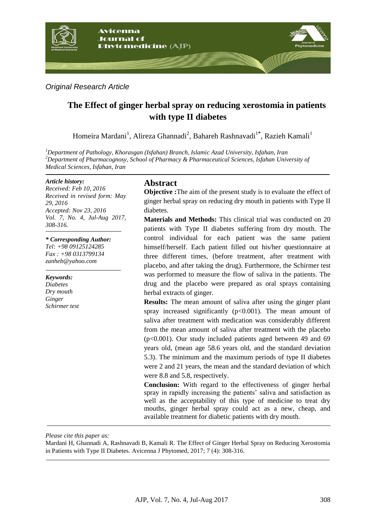

### *Original Research Article*

# **The Effect of ginger herbal spray on reducing xerostomia in patients with type II diabetes**

Homeira Mardani<sup>1</sup>, Alireza Ghannadi<sup>2</sup>, Bahareh Rashnavadi<sup>1\*</sup>, Razieh Kamali<sup>1</sup>

*<sup>1</sup>Department of Pathology, Khorasgan (Isfahan) Branch, Islamic Azad University, Isfahan, Iran <sup>2</sup>Department of Pharmacognosy, School of Pharmacy & Pharmaceutical Sciences, Isfahan University of Medical Sciences, Isfahan, Iran*

#### *Article history:*

*Received: Feb 10, 2016 Received in revised form: May 29, 2016 Accepted: Nov 23, 2016 Vol. 7, No. 4, Jul-Aug 2017, 308-316.*

#### *\* Corresponding Author:*

*Tel: +98 09125124285 Fax : +98 0313799134 [zanheb@yahoo.com](mailto:zanheb@yahoo.com)*

*Keywords: Diabetes Dry mouth Ginger Schirmer test*

## **Abstract**

**Objective :**The aim of the present study is to evaluate the effect of ginger herbal spray on reducing dry mouth in patients with Type II diabetes.

**Materials and Methods:** This clinical trial was conducted on 20 patients with Type II diabetes suffering from dry mouth. The control individual for each patient was the same patient himself/herself. Each patient filled out his/her questionnaire at three different times, (before treatment, after treatment with placebo, and after taking the drug). Furthermore, the Schirmer test was performed to measure the flow of saliva in the patients. The drug and the placebo were prepared as oral sprays containing herbal extracts of ginger.

**Results:** The mean amount of saliva after using the ginger plant spray increased significantly  $(p<0.001)$ . The mean amount of saliva after treatment with medication was considerably different from the mean amount of saliva after treatment with the placebo (p<0.001). Our study included patients aged between 49 and 69 years old, (mean age 58.6 years old, and the standard deviation 5.3). The minimum and the maximum periods of type II diabetes were 2 and 21 years, the mean and the standard deviation of which were 8.8 and 5.8, respectively.

**Conclusion:** With regard to the effectiveness of ginger herbal spray in rapidly increasing the patients' saliva and satisfaction as well as the acceptability of this type of medicine to treat dry mouths, ginger herbal spray could act as a new, cheap, and available treatment for diabetic patients with dry mouth.

*Please cite this paper as:* 

Mardani H, Ghannadi A, Rashnavadi B, Kamali R. The Effect of Ginger Herbal Spray on Reducing Xerostomia in Patients with Type II Diabetes. Avicenna J Phytomed, 2017; 7 (4): 308-316.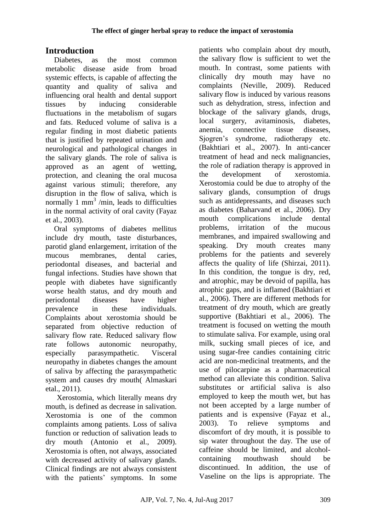# **Introduction**

Diabetes, as the most common metabolic disease aside from broad systemic effects, is capable of affecting the quantity and quality of saliva and influencing oral health and dental support tissues by inducing considerable fluctuations in the metabolism of sugars and fats. Reduced volume of saliva is a regular finding in most diabetic patients that is justified by repeated urination and neurological and pathological changes in the salivary glands. The role of saliva is approved as an agent of wetting, protection, and cleaning the oral mucosa against various stimuli; therefore, any disruption in the flow of saliva, which is normally 1 mm<sup>3</sup>/min, leads to difficulties in the normal activity of oral cavity (Fayaz et al., 2003).

Oral symptoms of diabetes mellitus include dry mouth, taste disturbances, parotid gland enlargement, irritation of the mucous membranes, dental caries, periodontal diseases, and bacterial and fungal infections. Studies have shown that people with diabetes have significantly worse health status, and dry mouth and periodontal diseases have higher prevalence in these individuals. Complaints about xerostomia should be separated from objective reduction of salivary flow rate. Reduced salivary flow rate follows autonomic neuropathy, especially parasympathetic. Visceral neuropathy in diabetes changes the amount of saliva by affecting the parasympathetic system and causes dry mouth( Almaskari etal., 2011).

Xerostomia, which literally means dry mouth, is defined as decrease in salivation. Xerostomia is one of the common complaints among patients. Loss of saliva function or reduction of salivation leads to dry mouth (Antonio et al., 2009). Xerostomia is often, not always, associated with decreased activity of salivary glands. Clinical findings are not always consistent with the patients' symptoms. In some

patients who complain about dry mouth, the salivary flow is sufficient to wet the mouth. In contrast, some patients with clinically dry mouth may have no complaints (Neville, 2009). Reduced salivary flow is induced by various reasons such as dehydration, stress, infection and blockage of the salivary glands, drugs, local surgery, avitaminosis, diabetes, anemia, connective tissue diseases, Sjogren's syndrome, radiotherapy etc. (Bakhtiari et al., 2007). In anti-cancer treatment of head and neck malignancies, the role of radiation therapy is approved in the development of xerostomia. Xerostomia could be due to atrophy of the salivary glands, consumption of drugs such as antidepressants, and diseases such as diabetes (Baharvand et al., 2006). Dry mouth complications include dental problems, irritation of the mucous membranes, and impaired swallowing and speaking. Dry mouth creates many problems for the patients and severely affects the quality of life (Shirzai, 2011). In this condition, the tongue is dry, red, and atrophic, may be devoid of papilla, has atrophic gaps, and is inflamed (Bakhtiari et al., 2006). There are different methods for treatment of dry mouth, which are greatly supportive (Bakhtiari et al., 2006). The treatment is focused on wetting the mouth to stimulate saliva. For example, using oral milk, sucking small pieces of ice, and using sugar-free candies containing citric acid are non-medicinal treatments, and the use of pilocarpine as a pharmaceutical method can alleviate this condition. Saliva substitutes or artificial saliva is also employed to keep the mouth wet, but has not been accepted by a large number of patients and is expensive (Fayaz et al., 2003). To relieve symptoms and discomfort of dry mouth, it is possible to sip water throughout the day. The use of caffeine should be limited, and alcoholcontaining mouthwash should be discontinued. In addition, the use of Vaseline on the lips is appropriate. The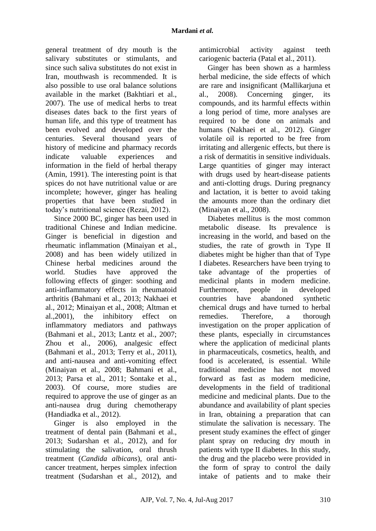general treatment of dry mouth is the salivary substitutes or stimulants, and since such saliva substitutes do not exist in Iran, mouthwash is recommended. It is also possible to use oral balance solutions available in the market (Bakhtiari et al., 2007). The use of medical herbs to treat diseases dates back to the first years of human life, and this type of treatment has been evolved and developed over the centuries. Several thousand years of history of medicine and pharmacy records indicate valuable experiences and information in the field of herbal therapy (Amin, 1991). The interesting point is that spices do not have nutritional value or are incomplete; however, ginger has healing properties that have been studied in today's nutritional science (Rezai, 2012).

Since 2000 BC, ginger has been used in traditional Chinese and Indian medicine. Ginger is beneficial in digestion and rheumatic inflammation (Minaiyan et al., 2008) and has been widely utilized in Chinese herbal medicines around the world. Studies have approved the following effects of ginger: soothing and anti-inflammatory effects in rheumatoid arthritis (Bahmani et al., 2013; Nakhaei et al., 2012; Minaiyan et al., 2008; Altman et al.,2001), the inhibitory effect on inflammatory mediators and pathways (Bahmani et al., 2013; Lantz et al., 2007; Zhou et al., 2006), analgesic effect (Bahmani et al., 2013; Terry et al., 2011), and anti-nausea and anti-vomiting effect (Minaiyan et al., 2008; Bahmani et al., 2013; Parsa et al., 2011; Sontake et al., 2003). Of course, more studies are required to approve the use of ginger as an anti-nausea drug during chemotherapy (Handiadka et al., 2012).

Ginger is also employed in the treatment of dental pain (Bahmani et al., 2013; Sudarshan et al., 2012), and for stimulating the salivation, oral thrush treatment (*Candida albicans*), oral anticancer treatment, herpes simplex infection treatment (Sudarshan et al., 2012), and antimicrobial activity against teeth cariogenic bacteria (Patal et al., 2011).

Ginger has been shown as a harmless herbal medicine, the side effects of which are rare and insignificant [\(Mallikarjuna et](http://www.ncbi.nlm.nih.gov/books/NBK92775/)  [al., 2008\)](http://www.ncbi.nlm.nih.gov/books/NBK92775/). Concerning ginger, its compounds, and its harmful effects within a long period of time, more analyses are required to be done on animals and humans (Nakhaei et al., 2012). Ginger volatile oil is reported to be free from irritating and allergenic effects, but there is a risk of dermatitis in sensitive individuals. Large quantities of ginger may interact with drugs used by heart-disease patients and anti-clotting drugs. During pregnancy and lactation, it is better to avoid taking the amounts more than the ordinary diet (Minaiyan et al., 2008).

Diabetes mellitus is the most common metabolic disease. Its prevalence is increasing in the world, and based on the studies, the rate of growth in Type II diabetes might be higher than that of Type I diabetes. Researchers have been trying to take advantage of the properties of medicinal plants in modern medicine. Furthermore, people in developed countries have abandoned synthetic chemical drugs and have turned to herbal remedies. Therefore, a thorough investigation on the proper application of these plants, especially in circumstances where the application of medicinal plants in pharmaceuticals, cosmetics, health, and food is accelerated, is essential. While traditional medicine has not moved forward as fast as modern medicine, developments in the field of traditional medicine and medicinal plants. Due to the abundance and availability of plant species in Iran, obtaining a preparation that can stimulate the salivation is necessary. The present study examines the effect of ginger plant spray on reducing dry mouth in patients with type II diabetes. In this study, the drug and the placebo were provided in the form of spray to control the daily intake of patients and to make their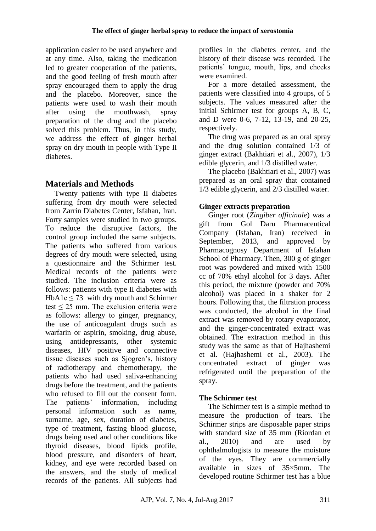application easier to be used anywhere and at any time. Also, taking the medication led to greater cooperation of the patients, and the good feeling of fresh mouth after spray encouraged them to apply the drug and the placebo. Moreover, since the patients were used to wash their mouth after using the mouthwash, spray preparation of the drug and the placebo solved this problem. Thus, in this study, we address the effect of ginger herbal spray on dry mouth in people with Type II diabetes.

# **Materials and Methods**

Twenty patients with type II diabetes suffering from dry mouth were selected from Zarrin Diabetes Center, Isfahan, Iran. Forty samples were studied in two groups. To reduce the disruptive factors, the control group included the same subjects. The patients who suffered from various degrees of dry mouth were selected, using a questionnaire and the Schirmer test. Medical records of the patients were studied. The inclusion criteria were as follows: patients with type II diabetes with HbA1c  $\leq$  [73](https://translate.googleusercontent.com/translate_f#footnote3) with dry mouth and Schirmer test  $\leq$  25 mm. The exclusion criteria were as follows: allergy to ginger, pregnancy, the use of anticoagulant drugs such as warfarin or aspirin, smoking, drug abuse, using antidepressants, other systemic diseases, HIV positive and connective tissue diseases such as Sjogren's, history of radiotherapy and chemotherapy, the patients who had used saliva-enhancing drugs before the treatment, and the patients who refused to fill out the consent form. The patients' information, including personal information such as name, surname, age, sex, duration of diabetes, type of treatment, fasting blood glucose, drugs being used and other conditions like thyroid diseases, blood lipids profile, blood pressure, and disorders of heart, kidney, and eye were recorded based on the answers, and the study of medical records of the patients. All subjects had

profiles in the diabetes center, and the history of their disease was recorded. The patients' tongue, mouth, lips, and cheeks were examined.

For a more detailed assessment, the patients were classified into 4 groups, of 5 subjects. The values measured after the initial Schirmer test for groups A, B, C, and D were 0-6, 7-12, 13-19, and 20-25, respectively.

The drug was prepared as an oral spray and the drug solution contained 1/3 of ginger extract (Bakhtiari et al., 2007), 1/3 edible glycerin, and 1/3 distilled water.

The placebo (Bakhtiari et al., 2007) was prepared as an oral spray that contained 1/3 edible glycerin, and 2/3 distilled water.

# **Ginger extracts preparation**

Ginger root (*Zingiber officinale*) was a gift from Gol Daru Pharmaceutical Company (Isfahan, Iran) received in September, 2013, and approved by Pharmacognosy Department of Isfahan School of Pharmacy. Then, 300 g of ginger root was powdered and mixed with 1500 cc of 70% ethyl alcohol for 3 days. After this period, the mixture (powder and 70% alcohol) was placed in a shaker for 2 hours. Following that, the filtration process was conducted, the alcohol in the final extract was removed by rotary evaporator, and the ginger-concentrated extract was obtained. The extraction method in this study was the same as that of Hajhashemi et al. (Hajhashemi et al., 2003). The concentrated extract of ginger was refrigerated until the preparation of the spray.

# **The Schirmer test**

The Schirmer test is a simple method to measure the production of tears. The Schirmer strips are disposable paper strips with standard size of 35 mm (Riordan et al., 2010) and are used by ophthalmologists to measure the moisture of the eyes. They are commercially available in sizes of 35×5mm. The developed routine Schirmer test has a blue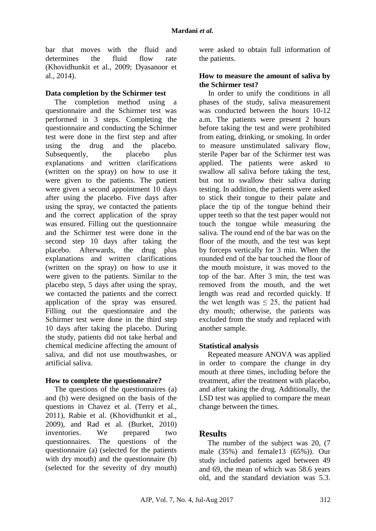bar that moves with the fluid and determines the fluid flow rate (Khovidhunkit et al., 2009; Dyasanoor et al., 2014).

### **Data completion by the Schirmer test**

The completion method using a questionnaire and the Schirmer test was performed in 3 steps. Completing the questionnaire and conducting the Schirmer test were done in the first step and after using the drug and the placebo. Subsequently, the placebo plus explanations and written clarifications (written on the spray) on how to use it were given to the patients. The patient were given a second appointment 10 days after using the placebo. Five days after using the spray, we contacted the patients and the correct application of the spray was ensured. Filling out the questionnaire and the Schirmer test were done in the second step 10 days after taking the placebo. Afterwards, the drug plus explanations and written clarifications (written on the spray) on how to use it were given to the patients. Similar to the placebo step, 5 days after using the spray, we contacted the patients and the correct application of the spray was ensured. Filling out the questionnaire and the Schirmer test were done in the third step 10 days after taking the placebo. During the study, patients did not take herbal and chemical medicine affecting the amount of saliva, and did not use mouthwashes, or artificial saliva.

## **How to complete the questionnaire?**

The questions of the questionnaires (a) and (b) were designed on the basis of the questions in Chavez et al. (Terry et al., 2011), Rabie et al. (Khovidhunkit et al., 2009), and Rad et al. (Burket, 2010) inventories. We prepared two questionnaires. The questions of the questionnaire (a) (selected for the patients with dry mouth) and the questionnaire (b) (selected for the severity of dry mouth) were asked to obtain full information of the patients.

### **How to measure the amount of saliva by the Schirmer test?**

In order to unify the conditions in all phases of the study, saliva measurement was conducted between the hours 10-12 a.m. The patients were present 2 hours before taking the test and were prohibited from eating, drinking, or smoking. In order to measure unstimulated salivary flow, sterile Paper bar of the Schirmer test was applied. The patients were asked to swallow all saliva before taking the test, but not to swallow their saliva during testing. In addition, the patients were asked to stick their tongue to their palate and place the tip of the tongue behind their upper teeth so that the test paper would not touch the tongue while measuring the saliva. The round end of the bar was on the floor of the mouth, and the test was kept by forceps vertically for 3 min. When the rounded end of the bar touched the floor of the mouth moisture, it was moved to the top of the bar. After 3 min, the test was removed from the mouth, and the wet length was read and recorded quickly. If the wet length was  $\leq 25$ , the patient had dry mouth; otherwise, the patients was excluded from the study and replaced with another sample.

## **Statistical analysis**

Repeated measure ANOVA was applied in order to compare the change in dry mouth at three times, including before the treatment, after the treatment with placebo, and after taking the drug. Additionally, the LSD test was applied to compare the mean change between the times.

## **Results**

The number of the subject was 20, (7) male (35%) and female13 (65%)). Our study included patients aged between 49 and 69, the mean of which was 58.6 years old, and the standard deviation was 5.3.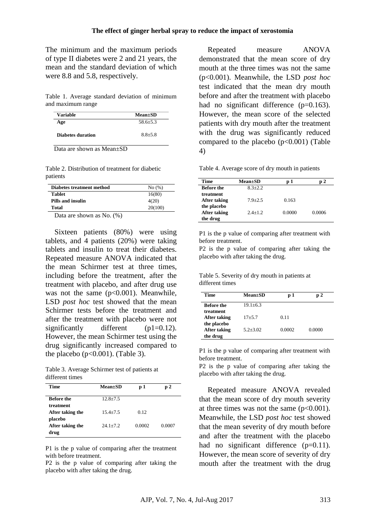The minimum and the maximum periods of type II diabetes were 2 and 21 years, the mean and the standard deviation of which were 8.8 and 5.8, respectively.

Table 1. Average standard deviation of minimum and maximum range

| Variable                 | $Mean \pm SD$ |
|--------------------------|---------------|
| Age                      | $58.6 + 5.3$  |
| <b>Diabetes duration</b> | $8.8 + 5.8$   |
|                          |               |

Data are shown as Mean±SD

Table 2. Distribution of treatment for diabetic patients

| Diabetes treatment method    | No(%)   |
|------------------------------|---------|
| <b>Tablet</b>                | 16(80)  |
| Pills and insulin            | 4(20)   |
| Total                        | 20(100) |
| Dota are shown as $N_0$ (0.) |         |

Data are shown as No. (%)

Sixteen patients (80%) were using tablets, and 4 patients (20%) were taking tablets and insulin to treat their diabetes. Repeated measure ANOVA indicated that the mean Schirmer test at three times, including before the treatment, after the treatment with placebo, and after drug use was not the same  $(p<0.001)$ . Meanwhile, LSD *post hoc* test showed that the mean Schirmer tests before the treatment and after the treatment with placebo were not significantly different (p1=0.12). However, the mean Schirmer test using the drug significantly increased compared to the placebo ( $p<0.001$ ). (Table 3).

Table 3. Average Schirmer test of patients at different times

| Time             | $Mean \pm SD$ | p 1    | p2     |
|------------------|---------------|--------|--------|
| Before the       | $12.8 + 7.5$  |        |        |
| treatment        |               |        |        |
| After taking the | $15.4 + 7.5$  | 0.12   |        |
| placebo          |               |        |        |
| After taking the | $24.1 + 7.2$  | 0.0002 | 0.0007 |
| drug             |               |        |        |

P1 is the p value of comparing after the treatment with before treatment.

P2 is the p value of comparing after taking the placebo with after taking the drug.

Repeated measure ANOVA demonstrated that the mean score of dry mouth at the three times was not the same (p<0.001). Meanwhile, the LSD *post hoc* test indicated that the mean dry mouth before and after the treatment with placebo had no significant difference (p=0.163). However, the mean score of the selected patients with dry mouth after the treatment with the drug was significantly reduced compared to the placebo  $(p<0.001)$  (Table 4)

Table 4. Average score of dry mouth in patients

| <b>Time</b>       | <b>Mean±SD</b> | p 1    | 2      |
|-------------------|----------------|--------|--------|
| <b>Before the</b> | $8.3 + 2.2$    |        |        |
| treatment         |                |        |        |
| After taking      | $7.9 + 2.5$    | 0.163  |        |
| the placebo       |                |        |        |
| After taking      | $2.4 + 1.2$    | 0.0000 | 0.0006 |
| the drug          |                |        |        |

P1 is the p value of comparing after treatment with before treatment.

P2 is the p value of comparing after taking the placebo with after taking the drug.

Table 5. Severity of dry mouth in patients at different times

| Time                           | $Mean \pm SD$ | p 1    | p 2    |
|--------------------------------|---------------|--------|--------|
| <b>Before the</b><br>treatment | $19.1 + 6.3$  |        |        |
| After taking                   | $17 + 5.7$    | 0.11   |        |
| the placebo<br>After taking    | $5.2 + 3.02$  | 0.0002 | 0.0000 |
| the drug                       |               |        |        |

P1 is the p value of comparing after treatment with before treatment.

P2 is the p value of comparing after taking the placebo with after taking the drug.

Repeated measure ANOVA revealed that the mean score of dry mouth severity at three times was not the same  $(p<0.001)$ . Meanwhile, the LSD *post hoc* test showed that the mean severity of dry mouth before and after the treatment with the placebo had no significant difference (p=0.11). However, the mean score of severity of dry mouth after the treatment with the drug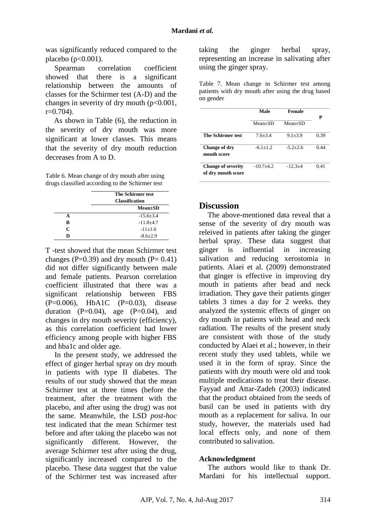was significantly reduced compared to the placebo (p<0.001).

Spearman correlation coefficient showed that there is a significant relationship between the amounts of classes for the Schirmer test (A-D) and the changes in severity of dry mouth  $(p<0.001$ ,  $r=0.704$ ).

As shown in Table (6), the reduction in the severity of dry mouth was more significant at lower classes. This means that the severity of dry mouth reduction decreases from A to D.

Table 6. Mean change of dry mouth after using drugs classified according to the Schirmer test

|                             | <b>The Schirmer test</b><br><b>Classification</b> |  |
|-----------------------------|---------------------------------------------------|--|
|                             | $Mean \pm SD$                                     |  |
| А                           | $-15.6 + 3.4$                                     |  |
| R                           | $-11.8+4.7$                                       |  |
| $\mathcal{C}_{\mathcal{C}}$ | $-11+1.6$                                         |  |
| D                           | $-8.6+2.9$                                        |  |

T -test showed that the mean Schirmer test changes (P=0.39) and dry mouth (P=  $0.41$ ) did not differ significantly between male and female patients. Pearson correlation coefficient illustrated that there was a significant relationship between FBS (P=0.006), HbA1C (P=0.03), disease duration  $(P=0.04)$ , age  $(P=0.04)$ , and changes in dry mouth severity (efficiency), as this correlation coefficient had lower efficiency among people with higher FBS and hba1c and older age.

In the present study, we addressed the effect of ginger herbal spray on dry mouth in patients with type II diabetes. The results of our study showed that the mean Schirmer test at three times (before the treatment, after the treatment with the placebo, and after using the drug) was not the same. Meanwhile, the LSD *post-hoc* test indicated that the mean Schirmer test before and after taking the placebo was not significantly different. However, the average Schirmer test after using the drug, significantly increased compared to the placebo. These data suggest that the value of the Schirmer test was increased after taking the ginger herbal spray, representing an increase in salivating after using the ginger spray.

Table 7. Mean change in Schirmer test among patients with dry mouth after using the drug based on gender

|                                                 | Male        | Female      | Р    |
|-------------------------------------------------|-------------|-------------|------|
|                                                 | $Mean+SD$   | $Mean+SD$   |      |
| <b>The Schirmer test</b>                        | $7.6 + 3.4$ | $9.1 + 3.9$ | 0.39 |
| Change of dry<br>mouth score                    | $-6.1+1.2$  | $-5.2+2.6$  | 0.44 |
| <b>Change of severity</b><br>of dry mouth score | $-10.7+4.2$ | $-12.3+4$   | 0.41 |

# **Discussion**

The above-mentioned data reveal that a sense of the severity of dry mouth was releived in patients after taking the ginger herbal spray. These data suggest that ginger is influential in increasing salivation and reducing xerostomia in patients. Alaei et al. (2009) demonstrated that ginger is effective in improving dry mouth in patients after head and neck irradiation. They gave their patients ginger tablets 3 times a day for 2 weeks. they analyzed the systemic effects of ginger on dry mouth in patients with head and neck radiation. The results of the present study are consistent with those of the study conducted by Alaei et al.; however, in their recent study they used tablets, while we used it in the form of spray. Since the patients with dry mouth were old and took multiple medications to treat their disease. Fayyad and Attar-Zadeh (2003) indicated that the product obtained from the seeds of basil can be used in patients with dry mouth as a replacement for saliva. In our study, however, the materials used had local effects only, and none of them contributed to salivation.

#### **Acknowledgment**

The authors would like to thank Dr. Mardani for his intellectual support.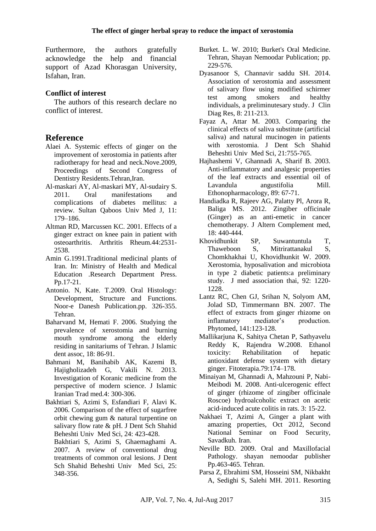Furthermore, the authors gratefully acknowledge the help and financial support of Azad Khorasgan University, Isfahan, Iran.

# **Conflict of interest**

The authors of this research declare no conflict of interest.

# **Reference**

- Alaei A. Systemic effects of ginger on the improvement of xerostomia in patients after radiotherapy for head and neck.Nove.2009, Proceedings of Second Congress of Dentistry Residents.Tehran,Iran.
- Al-maskari AY, Al-maskari MY, Al-sudairy S. 2011. [Oral manifestations and](http://pubmedcentralcanada.ca/pmcc/articles/PMC3121021/)  [complications of diabetes mellitus: a](http://pubmedcentralcanada.ca/pmcc/articles/PMC3121021/)  [review.](http://pubmedcentralcanada.ca/pmcc/articles/PMC3121021/) Sultan Qaboos Univ Med J, 11: 179–186.
- Altman RD, Marcussen KC. 2001. Effects of a ginger extract on knee pain in patient with osteoarthritis. Arthritis Rheum.44:2531- 2538.
- Amin G.1991.Traditional medicinal plants of Iran. In: Ministry of Health and Medical Education .Research Department Press. Pp.17-21.
- Antonio. N, Kate. T.2009. Oral Histology: Development, Structure and Functions. Noor-e Danesh Publication.pp. 326-355. Tehran.
- Baharvand M, Hemati F. 2006. Studying the prevalence of xerostomia and burning mouth syndrome among the elderly residing in sanitariums of Tehran. J Islamic dent assoc, 18: 86-91.
- Bahmani M, Banihabib AK, Kazemi B, Hajigholizadeh G, Vakili N. 2013. Investigation of Koranic medicine from the perspective of modern science. J Islamic Iranian Trad med.4: 300-306.
- Bakhtiari S, Azimi S, Esfandiari F, Alavi K. 2006. Comparison of the effect of sugarfree orbit chewing gum & natural turpentine on salivary flow rate & pH. J Dent Sch Shahid Beheshti Univ Med Sci, 24: 423-428.
	- Bakhtiari S, Azimi S, Ghaemaghami A. 2007. A review of conventional drug treatments of common oral lesions. J Dent Sch Shahid Beheshti Univ Med Sci, 25: 348-356.
- Burket. L. W. 2010; Burket's Oral Medicine. Tehran, Shayan Nemoodar Publication; pp. 229-576.
- Dyasanoor S, Channavir saddu SH. 2014. Association of xerostomia and assessment of salivary flow using modified schirmer test among smokers and healthy individuals, a preliminutesary study. J Clin Diag Res, 8: 211-213.
- Fayaz A, Attar M. 2003. Comparing the clinical effects of saliva substitute (artificial saliva) and natural mucinogen in patients with xerostomia. J Dent Sch Shahid Beheshti Univ Med Sci, 21:755-765.
- Hajhashemi V, Ghannadi A, Sharif B. 2003. Anti-inflammatory and analgesic properties of the leaf extracts and essential oil of Lavandula angustifolia Mill. Ethonopharmacology, 89: 67-71.
- Handiadka R, Rajeev AG, Palatty Pl, Arora R, Baliga MS. 2012. Zingiber officinale (Ginger) as an anti-emetic in cancer chemotherapy. J Altern Complement med, 18: 440-444.
- Khovidhunkit SP, Suwantuntula T, Thaweboon S, Mitrirattanakul S, Chomkhakhai U, Khovidhunkit W. 2009. Xerostomia, hyposalivation and microbiota in type 2 diabetic patients:a preliminary study. J med association thai, 92: 1220- 1228.
- Lantz RC, Chen GJ, Srihan N, Solyom AM, Jolad SD, Timmermann BN. 2007. The effect of extracts from ginger rhizome on inflamatory mediator's production. Phytomed, 141:123-128.
- Mallikarjuna K, Sahitya Chetan P, Sathyavelu Reddy K, Rajendra W.2008. Ethanol toxicity: Rehabilitation of hepatic antioxidant defense system with dietary ginger. Fitoterapia.79:174–178.
- Minaiyan M, Ghannadi A, Mahzouni P, Nabi-Meibodi M. 2008. Anti-ulcerogenic effect of ginger (rhizome of zingiber officinale Roscoe) hydroalcoholic extract on acetic acid-induced acute colitis in rats. 3: 15-22.
- Nakhaei T, Azimi A, Ginger a plant with amazing properties, Oct 2012, Second National Seminar on Food Security, Savadkuh. Iran.
- Neville BD. 2009. Oral and Maxillofacial Pathology. shayan nemoodar publisher Pp.463-465. Tehran.
- Parsa Z, Ebrahimi SM, Hosseini SM, Nikbakht A, Sedighi S, Salehi MH. 2011. Resorting